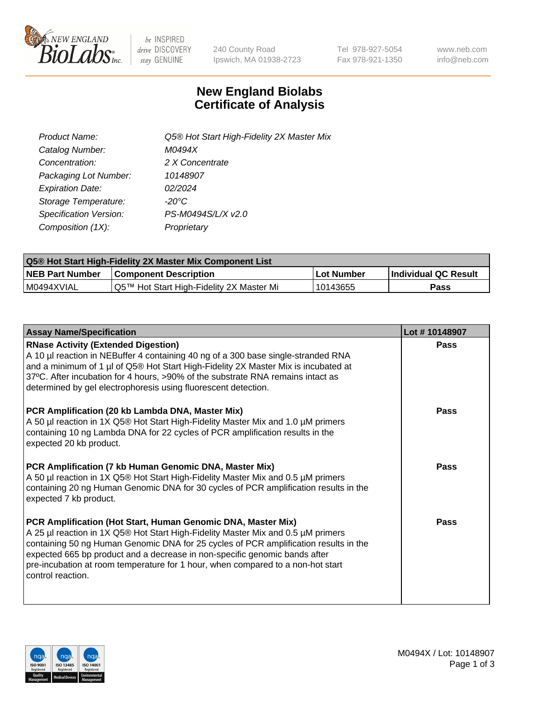

 $be$  INSPIRED drive DISCOVERY stay GENUINE

240 County Road Ipswich, MA 01938-2723 Tel 978-927-5054 Fax 978-921-1350 www.neb.com info@neb.com

## **New England Biolabs Certificate of Analysis**

| Product Name:           | Q5® Hot Start High-Fidelity 2X Master Mix |
|-------------------------|-------------------------------------------|
| Catalog Number:         | M0494X                                    |
| Concentration:          | 2 X Concentrate                           |
| Packaging Lot Number:   | 10148907                                  |
| <b>Expiration Date:</b> | 02/2024                                   |
| Storage Temperature:    | $-20^{\circ}$ C                           |
| Specification Version:  | PS-M0494S/L/X v2.0                        |
| Composition (1X):       | Proprietary                               |

| <b>Q5® Hot Start High-Fidelity 2X Master Mix Component List</b> |                                          |             |                      |  |  |
|-----------------------------------------------------------------|------------------------------------------|-------------|----------------------|--|--|
| <b>NEB Part Number</b>                                          | Component Description_                   | ∣Lot Number | Individual QC Result |  |  |
| IM0494XVIAL                                                     | Q5™ Hot Start High-Fidelity 2X Master Mi | 10143655    | Pass                 |  |  |

| <b>Assay Name/Specification</b>                                                                                                                                                                                                                                                                                                                                                                                                       | Lot #10148907 |
|---------------------------------------------------------------------------------------------------------------------------------------------------------------------------------------------------------------------------------------------------------------------------------------------------------------------------------------------------------------------------------------------------------------------------------------|---------------|
| <b>RNase Activity (Extended Digestion)</b><br>A 10 µl reaction in NEBuffer 4 containing 40 ng of a 300 base single-stranded RNA<br>and a minimum of 1 µl of Q5® Hot Start High-Fidelity 2X Master Mix is incubated at<br>37°C. After incubation for 4 hours, >90% of the substrate RNA remains intact as<br>determined by gel electrophoresis using fluorescent detection.                                                            | Pass          |
| PCR Amplification (20 kb Lambda DNA, Master Mix)<br>A 50 µl reaction in 1X Q5® Hot Start High-Fidelity Master Mix and 1.0 µM primers<br>containing 10 ng Lambda DNA for 22 cycles of PCR amplification results in the<br>expected 20 kb product.                                                                                                                                                                                      | Pass          |
| <b>PCR Amplification (7 kb Human Genomic DNA, Master Mix)</b><br>A 50 µl reaction in 1X Q5® Hot Start High-Fidelity Master Mix and 0.5 µM primers<br>containing 20 ng Human Genomic DNA for 30 cycles of PCR amplification results in the<br>expected 7 kb product.                                                                                                                                                                   | Pass          |
| <b>PCR Amplification (Hot Start, Human Genomic DNA, Master Mix)</b><br>A 25 µl reaction in 1X Q5® Hot Start High-Fidelity Master Mix and 0.5 µM primers<br>containing 50 ng Human Genomic DNA for 25 cycles of PCR amplification results in the<br>expected 665 bp product and a decrease in non-specific genomic bands after<br>pre-incubation at room temperature for 1 hour, when compared to a non-hot start<br>control reaction. | Pass          |

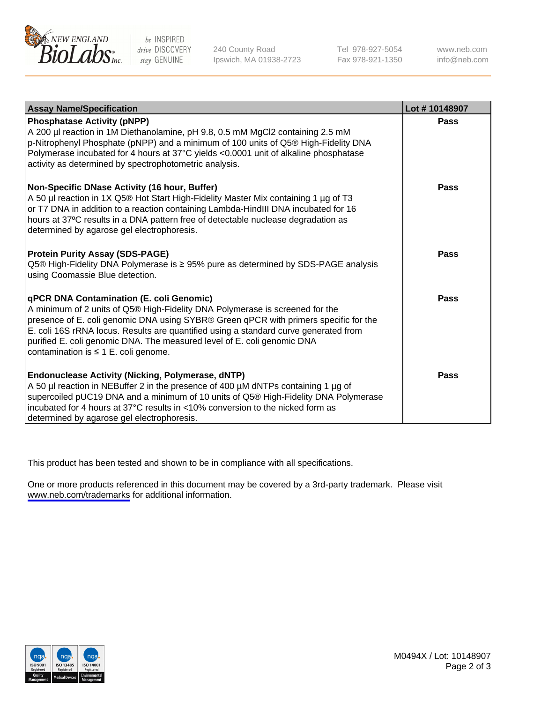

be INSPIRED drive DISCOVERY stay GENUINE

240 County Road Ipswich, MA 01938-2723 Tel 978-927-5054 Fax 978-921-1350

www.neb.com info@neb.com

| <b>Assay Name/Specification</b>                                                                                                                                                                                                                                                                                                                                                                                                    | Lot #10148907 |
|------------------------------------------------------------------------------------------------------------------------------------------------------------------------------------------------------------------------------------------------------------------------------------------------------------------------------------------------------------------------------------------------------------------------------------|---------------|
| <b>Phosphatase Activity (pNPP)</b><br>A 200 µl reaction in 1M Diethanolamine, pH 9.8, 0.5 mM MgCl2 containing 2.5 mM<br>p-Nitrophenyl Phosphate (pNPP) and a minimum of 100 units of Q5® High-Fidelity DNA<br>Polymerase incubated for 4 hours at 37°C yields <0.0001 unit of alkaline phosphatase<br>activity as determined by spectrophotometric analysis.                                                                       | Pass          |
| Non-Specific DNase Activity (16 hour, Buffer)<br>A 50 µl reaction in 1X Q5® Hot Start High-Fidelity Master Mix containing 1 µg of T3<br>or T7 DNA in addition to a reaction containing Lambda-HindIII DNA incubated for 16<br>hours at 37°C results in a DNA pattern free of detectable nuclease degradation as<br>determined by agarose gel electrophoresis.                                                                      | Pass          |
| <b>Protein Purity Assay (SDS-PAGE)</b><br>Q5 <sup>®</sup> High-Fidelity DNA Polymerase is ≥ 95% pure as determined by SDS-PAGE analysis<br>using Coomassie Blue detection.                                                                                                                                                                                                                                                         | Pass          |
| <b>qPCR DNA Contamination (E. coli Genomic)</b><br>A minimum of 2 units of Q5® High-Fidelity DNA Polymerase is screened for the<br>presence of E. coli genomic DNA using SYBR® Green qPCR with primers specific for the<br>E. coli 16S rRNA locus. Results are quantified using a standard curve generated from<br>purified E. coli genomic DNA. The measured level of E. coli genomic DNA<br>contamination is ≤ 1 E. coli genome. | Pass          |
| <b>Endonuclease Activity (Nicking, Polymerase, dNTP)</b><br>A 50 µl reaction in NEBuffer 2 in the presence of 400 µM dNTPs containing 1 µg of<br>supercoiled pUC19 DNA and a minimum of 10 units of Q5® High-Fidelity DNA Polymerase<br>incubated for 4 hours at 37°C results in <10% conversion to the nicked form as<br>determined by agarose gel electrophoresis.                                                               | Pass          |

This product has been tested and shown to be in compliance with all specifications.

One or more products referenced in this document may be covered by a 3rd-party trademark. Please visit <www.neb.com/trademarks>for additional information.